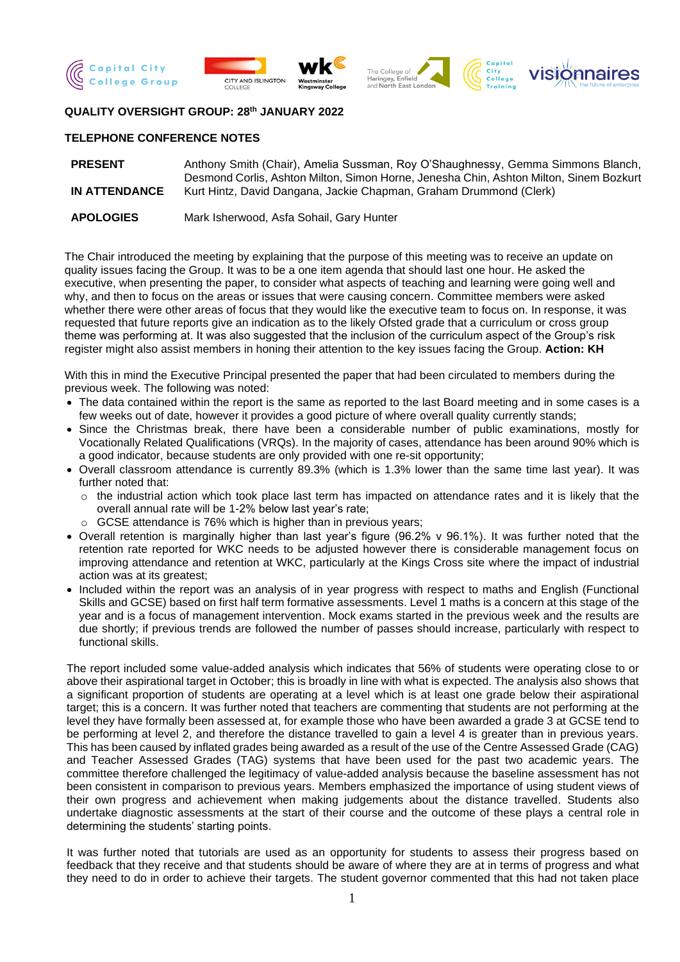





## **QUALITY OVERSIGHT GROUP: 28th JANUARY 2022**

## **TELEPHONE CONFERENCE NOTES**

| <b>PRESENT</b>       | Anthony Smith (Chair), Amelia Sussman, Roy O'Shaughnessy, Gemma Simmons Blanch,        |
|----------------------|----------------------------------------------------------------------------------------|
|                      | Desmond Corlis, Ashton Milton, Simon Horne, Jenesha Chin, Ashton Milton, Sinem Bozkurt |
| <b>IN ATTENDANCE</b> | Kurt Hintz, David Dangana, Jackie Chapman, Graham Drummond (Clerk)                     |
|                      |                                                                                        |
| ADOLOGIES            | Marklahamiasal Asta Cahail Camillinter                                                 |

**APOLOGIES** Mark Isherwood, Asfa Sohail, Gary Hunter

The Chair introduced the meeting by explaining that the purpose of this meeting was to receive an update on quality issues facing the Group. It was to be a one item agenda that should last one hour. He asked the executive, when presenting the paper, to consider what aspects of teaching and learning were going well and why, and then to focus on the areas or issues that were causing concern. Committee members were asked whether there were other areas of focus that they would like the executive team to focus on. In response, it was requested that future reports give an indication as to the likely Ofsted grade that a curriculum or cross group theme was performing at. It was also suggested that the inclusion of the curriculum aspect of the Group's risk register might also assist members in honing their attention to the key issues facing the Group. **Action: KH**

With this in mind the Executive Principal presented the paper that had been circulated to members during the previous week. The following was noted:

- The data contained within the report is the same as reported to the last Board meeting and in some cases is a few weeks out of date, however it provides a good picture of where overall quality currently stands;
- Since the Christmas break, there have been a considerable number of public examinations, mostly for Vocationally Related Qualifications (VRQs). In the majority of cases, attendance has been around 90% which is a good indicator, because students are only provided with one re-sit opportunity;
- Overall classroom attendance is currently 89.3% (which is 1.3% lower than the same time last year). It was further noted that:
	- $\circ$  the industrial action which took place last term has impacted on attendance rates and it is likely that the overall annual rate will be 1-2% below last year's rate;
	- $\circ$  GCSE attendance is 76% which is higher than in previous vears:
- Overall retention is marginally higher than last year's figure (96.2% v 96.1%). It was further noted that the retention rate reported for WKC needs to be adjusted however there is considerable management focus on improving attendance and retention at WKC, particularly at the Kings Cross site where the impact of industrial action was at its greatest;
- Included within the report was an analysis of in year progress with respect to maths and English (Functional Skills and GCSE) based on first half term formative assessments. Level 1 maths is a concern at this stage of the year and is a focus of management intervention. Mock exams started in the previous week and the results are due shortly; if previous trends are followed the number of passes should increase, particularly with respect to functional skills.

The report included some value-added analysis which indicates that 56% of students were operating close to or above their aspirational target in October; this is broadly in line with what is expected. The analysis also shows that a significant proportion of students are operating at a level which is at least one grade below their aspirational target; this is a concern. It was further noted that teachers are commenting that students are not performing at the level they have formally been assessed at, for example those who have been awarded a grade 3 at GCSE tend to be performing at level 2, and therefore the distance travelled to gain a level 4 is greater than in previous years. This has been caused by inflated grades being awarded as a result of the use of the Centre Assessed Grade (CAG) and Teacher Assessed Grades (TAG) systems that have been used for the past two academic years. The committee therefore challenged the legitimacy of value-added analysis because the baseline assessment has not been consistent in comparison to previous years. Members emphasized the importance of using student views of their own progress and achievement when making judgements about the distance travelled. Students also undertake diagnostic assessments at the start of their course and the outcome of these plays a central role in determining the students' starting points.

It was further noted that tutorials are used as an opportunity for students to assess their progress based on feedback that they receive and that students should be aware of where they are at in terms of progress and what they need to do in order to achieve their targets. The student governor commented that this had not taken place